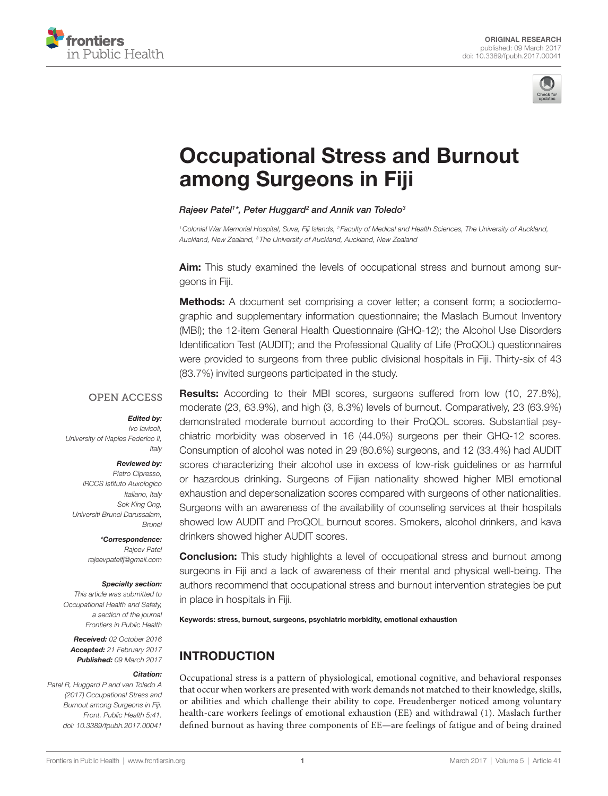



# [Occupational stress and Burnout](http://www.frontiersin.org/Journal/10.3389/fpubh.2017.00041/abstract)  [among surgeons in Fiji](http://www.frontiersin.org/Journal/10.3389/fpubh.2017.00041/abstract)

#### *[Rajeev Patel](http://loop.frontiersin.org/people/381373)1 \*, [Peter Huggard2](http://loop.frontiersin.org/people/403229) and [Annik van Toledo](http://loop.frontiersin.org/people/413422)3*

*1Colonial War Memorial Hospital, Suva, Fiji Islands, 2 Faculty of Medical and Health Sciences, The University of Auckland, Auckland, New Zealand, 3 The University of Auckland, Auckland, New Zealand*

**Aim:** This study examined the levels of occupational stress and burnout among surgeons in Fiji.

**Methods:** A document set comprising a cover letter; a consent form; a sociodemographic and supplementary information questionnaire; the Maslach Burnout Inventory (MBI); the 12-item General Health Questionnaire (GHQ-12); the Alcohol Use Disorders Identification Test (AUDIT); and the Professional Quality of Life (ProQOL) questionnaires were provided to surgeons from three public divisional hospitals in Fiji. Thirty-six of 43 (83.7%) invited surgeons participated in the study.

## **OPEN ACCESS**

#### *Edited by:*

*Ivo Iavicoli, University of Naples Federico II, Italy*

#### *Reviewed by:*

*Pietro Cipresso, IRCCS Istituto Auxologico Italiano, Italy Sok King Ong, Universiti Brunei Darussalam, Brunei*

> *\*Correspondence: Rajeev Patel [rajeevpatelfj@gmail.com](mailto:rajeevpatelfj@gmail.com)*

#### *Specialty section:*

*This article was submitted to Occupational Health and Safety, a section of the journal Frontiers in Public Health*

*Received: 02 October 2016 Accepted: 21 February 2017 Published: 09 March 2017*

#### *Citation:*

*Patel R, Huggard P and van Toledo A (2017) Occupational Stress and Burnout among Surgeons in Fiji. Front. Public Health 5:41. doi: [10.3389/fpubh.2017.00041](https://doi.org/10.3389/fpubh.2017.00041)*

**Results:** According to their MBI scores, surgeons suffered from low (10, 27.8%), moderate (23, 63.9%), and high (3, 8.3%) levels of burnout. Comparatively, 23 (63.9%) demonstrated moderate burnout according to their ProQOL scores. Substantial psychiatric morbidity was observed in 16 (44.0%) surgeons per their GHQ-12 scores. Consumption of alcohol was noted in 29 (80.6%) surgeons, and 12 (33.4%) had AUDIT scores characterizing their alcohol use in excess of low-risk guidelines or as harmful or hazardous drinking. Surgeons of Fijian nationality showed higher MBI emotional exhaustion and depersonalization scores compared with surgeons of other nationalities. Surgeons with an awareness of the availability of counseling services at their hospitals showed low AUDIT and ProQOL burnout scores. Smokers, alcohol drinkers, and kava drinkers showed higher AUDIT scores.

**Conclusion:** This study highlights a level of occupational stress and burnout among surgeons in Fiji and a lack of awareness of their mental and physical well-being. The authors recommend that occupational stress and burnout intervention strategies be put in place in hospitals in Fiji.

Keywords: stress, burnout, surgeons, psychiatric morbidity, emotional exhaustion

# INTRODUCTION

Occupational stress is a pattern of physiological, emotional cognitive, and behavioral responses that occur when workers are presented with work demands not matched to their knowledge, skills, or abilities and which challenge their ability to cope. Freudenberger noticed among voluntary health-care workers feelings of emotional exhaustion (EE) and withdrawal [\(1\)](#page-4-0). Maslach further defined burnout as having three components of EE—are feelings of fatigue and of being drained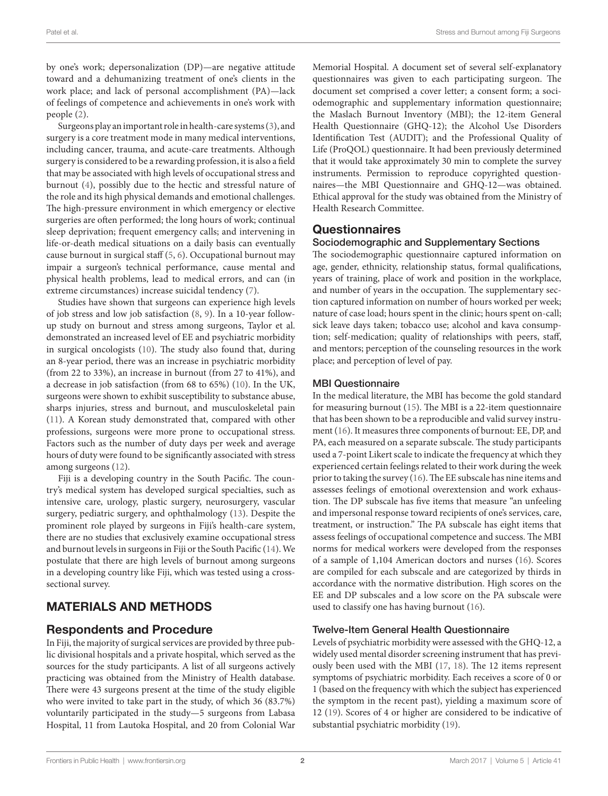by one's work; depersonalization (DP)—are negative attitude toward and a dehumanizing treatment of one's clients in the work place; and lack of personal accomplishment (PA)—lack of feelings of competence and achievements in one's work with people ([2](#page-4-1)).

Surgeons play an important role in health-care systems ([3](#page-4-2)), and surgery is a core treatment mode in many medical interventions, including cancer, trauma, and acute-care treatments. Although surgery is considered to be a rewarding profession, it is also a field that may be associated with high levels of occupational stress and burnout [\(4\)](#page-4-3), possibly due to the hectic and stressful nature of the role and its high physical demands and emotional challenges. The high-pressure environment in which emergency or elective surgeries are often performed; the long hours of work; continual sleep deprivation; frequent emergency calls; and intervening in life-or-death medical situations on a daily basis can eventually cause burnout in surgical staff ([5](#page-4-4), [6](#page-4-5)). Occupational burnout may impair a surgeon's technical performance, cause mental and physical health problems, lead to medical errors, and can (in extreme circumstances) increase suicidal tendency ([7](#page-5-0)).

Studies have shown that surgeons can experience high levels of job stress and low job satisfaction ([8,](#page-5-1) [9\)](#page-5-2). In a 10-year followup study on burnout and stress among surgeons, Taylor et al. demonstrated an increased level of EE and psychiatric morbidity in surgical oncologists ([10](#page-5-3)). The study also found that, during an 8-year period, there was an increase in psychiatric morbidity (from 22 to 33%), an increase in burnout (from 27 to 41%), and a decrease in job satisfaction (from 68 to 65%) ([10\)](#page-5-3). In the UK, surgeons were shown to exhibit susceptibility to substance abuse, sharps injuries, stress and burnout, and musculoskeletal pain ([11\)](#page-5-4). A Korean study demonstrated that, compared with other professions, surgeons were more prone to occupational stress. Factors such as the number of duty days per week and average hours of duty were found to be significantly associated with stress among surgeons ([12\)](#page-5-5).

Fiji is a developing country in the South Pacific. The country's medical system has developed surgical specialties, such as intensive care, urology, plastic surgery, neurosurgery, vascular surgery, pediatric surgery, and ophthalmology [\(13](#page-5-6)). Despite the prominent role played by surgeons in Fiji's health-care system, there are no studies that exclusively examine occupational stress and burnout levels in surgeons in Fiji or the South Pacific ([14\)](#page-5-7). We postulate that there are high levels of burnout among surgeons in a developing country like Fiji, which was tested using a crosssectional survey.

# MATERIALS AND METHODS

## Respondents and Procedure

In Fiji, the majority of surgical services are provided by three public divisional hospitals and a private hospital, which served as the sources for the study participants. A list of all surgeons actively practicing was obtained from the Ministry of Health database. There were 43 surgeons present at the time of the study eligible who were invited to take part in the study, of which 36 (83.7%) voluntarily participated in the study—5 surgeons from Labasa Hospital, 11 from Lautoka Hospital, and 20 from Colonial War Memorial Hospital. A document set of several self-explanatory questionnaires was given to each participating surgeon. The document set comprised a cover letter; a consent form; a sociodemographic and supplementary information questionnaire; the Maslach Burnout Inventory (MBI); the 12-item General Health Questionnaire (GHQ-12); the Alcohol Use Disorders Identification Test (AUDIT); and the Professional Quality of Life (ProQOL) questionnaire. It had been previously determined that it would take approximately 30 min to complete the survey instruments. Permission to reproduce copyrighted questionnaires—the MBI Questionnaire and GHQ-12—was obtained. Ethical approval for the study was obtained from the Ministry of Health Research Committee.

## **Questionnaires**

## Sociodemographic and Supplementary Sections

The sociodemographic questionnaire captured information on age, gender, ethnicity, relationship status, formal qualifications, years of training, place of work and position in the workplace, and number of years in the occupation. The supplementary section captured information on number of hours worked per week; nature of case load; hours spent in the clinic; hours spent on-call; sick leave days taken; tobacco use; alcohol and kava consumption; self-medication; quality of relationships with peers, staff, and mentors; perception of the counseling resources in the work place; and perception of level of pay.

## MBI Questionnaire

In the medical literature, the MBI has become the gold standard for measuring burnout [\(15\)](#page-5-8). The MBI is a 22-item questionnaire that has been shown to be a reproducible and valid survey instrument ([16](#page-5-9)). It measures three components of burnout: EE, DP, and PA, each measured on a separate subscale. The study participants used a 7-point Likert scale to indicate the frequency at which they experienced certain feelings related to their work during the week prior to taking the survey ([16\)](#page-5-9). The EE subscale has nine items and assesses feelings of emotional overextension and work exhaustion. The DP subscale has five items that measure "an unfeeling and impersonal response toward recipients of one's services, care, treatment, or instruction." The PA subscale has eight items that assess feelings of occupational competence and success. The MBI norms for medical workers were developed from the responses of a sample of 1,104 American doctors and nurses [\(16](#page-5-9)). Scores are compiled for each subscale and are categorized by thirds in accordance with the normative distribution. High scores on the EE and DP subscales and a low score on the PA subscale were used to classify one has having burnout [\(16\)](#page-5-9).

## Twelve-Item General Health Questionnaire

Levels of psychiatric morbidity were assessed with the GHQ-12, a widely used mental disorder screening instrument that has previously been used with the MBI ([17,](#page-5-10) [18](#page-5-11)). The 12 items represent symptoms of psychiatric morbidity. Each receives a score of 0 or 1 (based on the frequency with which the subject has experienced the symptom in the recent past), yielding a maximum score of 12 [\(19](#page-5-12)). Scores of 4 or higher are considered to be indicative of substantial psychiatric morbidity [\(19](#page-5-12)).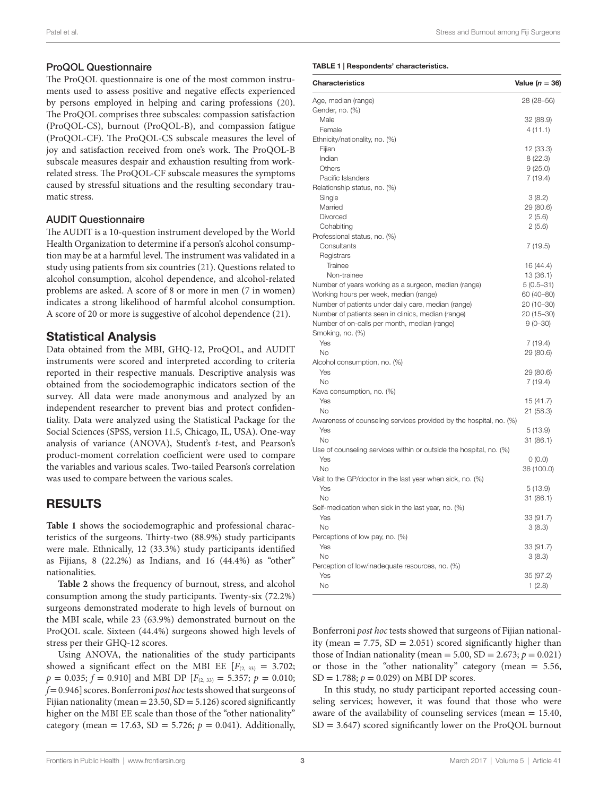## ProQOL Questionnaire

The ProQOL questionnaire is one of the most common instruments used to assess positive and negative effects experienced by persons employed in helping and caring professions ([20\)](#page-5-13). The ProQOL comprises three subscales: compassion satisfaction (ProQOL-CS), burnout (ProQOL-B), and compassion fatigue (ProQOL-CF). The ProQOL-CS subscale measures the level of joy and satisfaction received from one's work. The ProQOL-B subscale measures despair and exhaustion resulting from workrelated stress. The ProQOL-CF subscale measures the symptoms caused by stressful situations and the resulting secondary traumatic stress.

## AUDIT Questionnaire

The AUDIT is a 10-question instrument developed by the World Health Organization to determine if a person's alcohol consumption may be at a harmful level. The instrument was validated in a study using patients from six countries ([21\)](#page-5-14). Questions related to alcohol consumption, alcohol dependence, and alcohol-related problems are asked. A score of 8 or more in men (7 in women) indicates a strong likelihood of harmful alcohol consumption. A score of 20 or more is suggestive of alcohol dependence ([21](#page-5-14)).

## Statistical Analysis

Data obtained from the MBI, GHQ-12, ProQOL, and AUDIT instruments were scored and interpreted according to criteria reported in their respective manuals. Descriptive analysis was obtained from the sociodemographic indicators section of the survey. All data were made anonymous and analyzed by an independent researcher to prevent bias and protect confidentiality. Data were analyzed using the Statistical Package for the Social Sciences (SPSS, version 11.5, Chicago, IL, USA). One-way analysis of variance (ANOVA), Student's *t*-test, and Pearson's product-moment correlation coefficient were used to compare the variables and various scales. Two-tailed Pearson's correlation was used to compare between the various scales.

## RESULTS

Table 1 shows the sociodemographic and professional characteristics of the surgeons. Thirty-two (88.9%) study participants were male. Ethnically, 12 (33.3%) study participants identified as Fijians, 8 (22.2%) as Indians, and 16 (44.4%) as "other" nationalities.

**[Table 2](#page-3-0)** shows the frequency of burnout, stress, and alcohol consumption among the study participants. Twenty-six (72.2%) surgeons demonstrated moderate to high levels of burnout on the MBI scale, while 23 (63.9%) demonstrated burnout on the ProQOL scale. Sixteen (44.4%) surgeons showed high levels of stress per their GHQ-12 scores.

Using ANOVA, the nationalities of the study participants showed a significant effect on the MBI EE  $[F_{(2, 33)} = 3.702;$  $p = 0.035$ ;  $f = 0.910$ ] and MBI DP [ $F_{(2, 33)} = 5.357$ ;  $p = 0.010$ ; *f*= 0.946] scores. Bonferroni *post hoc* tests showed that surgeons of Fijian nationality (mean =  $23.50$ , SD =  $5.126$ ) scored significantly higher on the MBI EE scale than those of the "other nationality" category (mean = 17.63, SD = 5.726;  $p = 0.041$ ). Additionally,

#### <span id="page-2-0"></span>Table 1 | Respondents' characteristics.

| <b>Characteristics</b>                                             | Value ( $n = 36$ ) |
|--------------------------------------------------------------------|--------------------|
| Age, median (range)                                                | 28 (28-56)         |
| Gender, no. (%)                                                    |                    |
| Male                                                               | 32 (88.9)          |
| Female                                                             | 4(11.1)            |
| Ethnicity/nationality, no. (%)                                     |                    |
| Fijian                                                             | 12 (33.3)          |
| Indian                                                             | 8(22.3)            |
| Others                                                             | 9(25.0)            |
| Pacific Islanders                                                  | 7(19.4)            |
| Relationship status, no. (%)                                       |                    |
| Single                                                             | 3(8.2)             |
| Married                                                            | 29 (80.6)          |
| Divorced                                                           | 2(5.6)             |
| Cohabiting                                                         | 2(5.6)             |
| Professional status, no. (%)                                       |                    |
| Consultants                                                        | 7(19.5)            |
| Registrars                                                         |                    |
| Trainee                                                            | 16 (44.4)          |
| Non-trainee                                                        | 13(36.1)           |
| Number of years working as a surgeon, median (range)               | $5(0.5 - 31)$      |
| Working hours per week, median (range)                             | 60 (40-80)         |
| Number of patients under daily care, median (range)                | 20 (10-30)         |
| Number of patients seen in clinics, median (range)                 | $20(15 - 30)$      |
| Number of on-calls per month, median (range)                       | $9(0 - 30)$        |
| Smoking, no. (%)                                                   |                    |
| Yes                                                                | 7(19.4)            |
| <b>No</b>                                                          | 29 (80.6)          |
| Alcohol consumption, no. (%)                                       |                    |
| Yes                                                                | 29 (80.6)          |
| <b>No</b>                                                          | 7 (19.4)           |
| Kava consumption, no. (%)                                          |                    |
| Yes                                                                | 15 (41.7)          |
| <b>No</b>                                                          | 21 (58.3)          |
| Awareness of counseling services provided by the hospital, no. (%) |                    |
| Yes                                                                | 5(13.9)            |
| <b>No</b>                                                          | 31 (86.1)          |
| Use of counseling services within or outside the hospital, no. (%) |                    |
| Yes                                                                | 0(0.0)             |
| No                                                                 | 36 (100.0)         |
| Visit to the GP/doctor in the last year when sick, no. (%)         |                    |
| Yes                                                                | 5(13.9)            |
| <b>No</b>                                                          | 31 (86.1)          |
| Self-medication when sick in the last year, no. (%)                |                    |
| Yes                                                                | 33 (91.7)          |
| No                                                                 | 3(8.3)             |
| Perceptions of low pay, no. (%)                                    |                    |
| Yes                                                                | 33 (91.7)          |
| No                                                                 | 3(8.3)             |
| Perception of low/inadequate resources, no. (%)                    |                    |
| Yes                                                                | 35 (97.2)          |
| <b>No</b>                                                          | 1(2.8)             |

Bonferroni *post hoc* tests showed that surgeons of Fijian nationality (mean  $= 7.75$ , SD  $= 2.051$ ) scored significantly higher than those of Indian nationality (mean =  $5.00$ , SD =  $2.673$ ;  $p = 0.021$ ) or those in the "other nationality" category (mean = 5.56, SD = 1.788; *p* = 0.029) on MBI DP scores.

In this study, no study participant reported accessing counseling services; however, it was found that those who were aware of the availability of counseling services (mean = 15.40,  $SD = 3.647$ ) scored significantly lower on the ProQOL burnout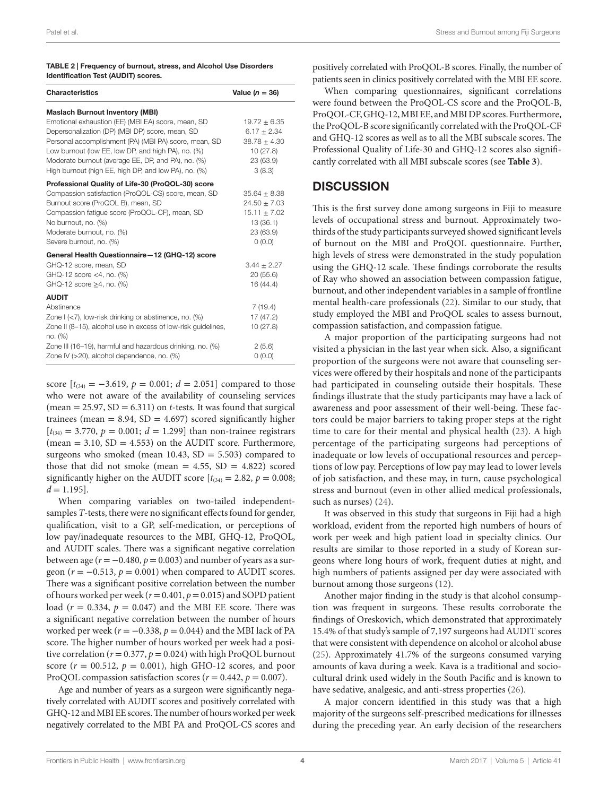#### <span id="page-3-0"></span>Table 2 | Frequency of burnout, stress, and Alcohol Use Disorders Identification Test (AUDIT) scores.

| <b>Characteristics</b>                                                   | Value ( $n = 36$ ) |
|--------------------------------------------------------------------------|--------------------|
| <b>Maslach Burnout Inventory (MBI)</b>                                   |                    |
| Emotional exhaustion (EE) (MBI EA) score, mean, SD                       | $19.72 \pm 6.35$   |
| Depersonalization (DP) (MBI DP) score, mean, SD                          | $6.17 \pm 2.34$    |
| Personal accomplishment (PA) (MBI PA) score, mean, SD                    | $38.78 \pm 4.30$   |
| Low burnout (low EE, low DP, and high PA), no. (%)                       | 10(27.8)           |
| Moderate burnout (average EE, DP, and PA), no. (%)                       | 23 (63.9)          |
| High burnout (high EE, high DP, and low PA), no. (%)                     | 3(8.3)             |
| Professional Quality of Life-30 (ProQOL-30) score                        |                    |
| Compassion satisfaction (ProQOL-CS) score, mean, SD                      | $35.64 \pm 8.38$   |
| Burnout score (ProQOL B), mean, SD                                       | $24.50 \pm 7.03$   |
| Compassion fatique score (ProQOL-CF), mean, SD                           | $15.11 \pm 7.02$   |
| No burnout, no. (%)                                                      | 13 (36.1)          |
| Moderate burnout, no. (%)                                                | 23 (63.9)          |
| Severe burnout, no. (%)                                                  | 0(0.0)             |
| General Health Questionnaire-12 (GHQ-12) score                           |                    |
| GHQ-12 score, mean, SD                                                   | $3.44 \pm 2.27$    |
| GHQ-12 score <4, no. (%)                                                 | 20(55.6)           |
| GHQ-12 score $\geq$ 4, no. (%)                                           | 16 (44.4)          |
| <b>AUDIT</b>                                                             |                    |
| Abstinence                                                               | 7(19.4)            |
| Zone I (<7), low-risk drinking or abstinence, no. (%)                    | 17 (47.2)          |
| Zone II (8-15), alcohol use in excess of low-risk guidelines,<br>no. (%) | 10 (27.8)          |
| Zone III (16–19), harmful and hazardous drinking, no. (%)                | 2(5.6)             |
| Zone IV (>20), alcohol dependence, no. (%)                               | 0(0.0)             |

score  $[t_{(34)} = -3.619, p = 0.001; d = 2.051]$  compared to those who were not aware of the availability of counseling services (mean  $= 25.97$ , SD  $= 6.311$ ) on *t*-tests. It was found that surgical trainees (mean  $= 8.94$ , SD  $= 4.697$ ) scored significantly higher  $[t_{(34)} = 3.770, p = 0.001; d = 1.299]$  than non-trainee registrars (mean  $= 3.10$ ,  $SD = 4.553$ ) on the AUDIT score. Furthermore, surgeons who smoked (mean  $10.43$ ,  $SD = 5.503$ ) compared to those that did not smoke (mean  $= 4.55$ , SD  $= 4.822$ ) scored significantly higher on the AUDIT score  $[t_{(34)} = 2.82, p = 0.008;$  $d = 1.195$ .

When comparing variables on two-tailed independentsamples *T*-tests, there were no significant effects found for gender, qualification, visit to a GP, self-medication, or perceptions of low pay/inadequate resources to the MBI, GHQ-12, ProQOL, and AUDIT scales. There was a significant negative correlation between age ( $r = -0.480$ ,  $p = 0.003$ ) and number of years as a surgeon  $(r = -0.513, p = 0.001)$  when compared to AUDIT scores. There was a significant positive correlation between the number of hours worked per week ( $r = 0.401$ ,  $p = 0.015$ ) and SOPD patient load  $(r = 0.334, p = 0.047)$  and the MBI EE score. There was a significant negative correlation between the number of hours worked per week ( $r = -0.338$ ,  $p = 0.044$ ) and the MBI lack of PA score. The higher number of hours worked per week had a positive correlation ( $r = 0.377$ ,  $p = 0.024$ ) with high ProQOL burnout score  $(r = 00.512, p = 0.001)$ , high GHO-12 scores, and poor ProQOL compassion satisfaction scores ( $r = 0.442$ ,  $p = 0.007$ ).

Age and number of years as a surgeon were significantly negatively correlated with AUDIT scores and positively correlated with GHQ-12 and MBI EE scores. The number of hours worked per week negatively correlated to the MBI PA and ProQOL-CS scores and

positively correlated with ProQOL-B scores. Finally, the number of patients seen in clinics positively correlated with the MBI EE score.

When comparing questionnaires, significant correlations were found between the ProQOL-CS score and the ProQOL-B, ProQOL-CF, GHQ-12, MBI EE, and MBI DP scores. Furthermore, the ProQOL-B score significantly correlated with the ProQOL-CF and GHQ-12 scores as well as to all the MBI subscale scores. The Professional Quality of Life-30 and GHQ-12 scores also significantly correlated with all MBI subscale scores (see **[Table 3](#page-4-6)**).

## **DISCUSSION**

This is the first survey done among surgeons in Fiji to measure levels of occupational stress and burnout. Approximately twothirds of the study participants surveyed showed significant levels of burnout on the MBI and ProQOL questionnaire. Further, high levels of stress were demonstrated in the study population using the GHQ-12 scale. These findings corroborate the results of Ray who showed an association between compassion fatigue, burnout, and other independent variables in a sample of frontline mental health-care professionals [\(22](#page-5-15)). Similar to our study, that study employed the MBI and ProQOL scales to assess burnout, compassion satisfaction, and compassion fatigue.

A major proportion of the participating surgeons had not visited a physician in the last year when sick. Also, a significant proportion of the surgeons were not aware that counseling services were offered by their hospitals and none of the participants had participated in counseling outside their hospitals. These findings illustrate that the study participants may have a lack of awareness and poor assessment of their well-being. These factors could be major barriers to taking proper steps at the right time to care for their mental and physical health ([23](#page-5-16)). A high percentage of the participating surgeons had perceptions of inadequate or low levels of occupational resources and perceptions of low pay. Perceptions of low pay may lead to lower levels of job satisfaction, and these may, in turn, cause psychological stress and burnout (even in other allied medical professionals, such as nurses) ([24\)](#page-5-17).

It was observed in this study that surgeons in Fiji had a high workload, evident from the reported high numbers of hours of work per week and high patient load in specialty clinics. Our results are similar to those reported in a study of Korean surgeons where long hours of work, frequent duties at night, and high numbers of patients assigned per day were associated with burnout among those surgeons [\(12\)](#page-5-5).

Another major finding in the study is that alcohol consumption was frequent in surgeons. These results corroborate the findings of Oreskovich, which demonstrated that approximately 15.4% of that study's sample of 7,197 surgeons had AUDIT scores that were consistent with dependence on alcohol or alcohol abuse [\(25\)](#page-5-18). Approximately 41.7% of the surgeons consumed varying amounts of kava during a week. Kava is a traditional and sociocultural drink used widely in the South Pacific and is known to have sedative, analgesic, and anti-stress properties ([26\)](#page-5-19).

A major concern identified in this study was that a high majority of the surgeons self-prescribed medications for illnesses during the preceding year. An early decision of the researchers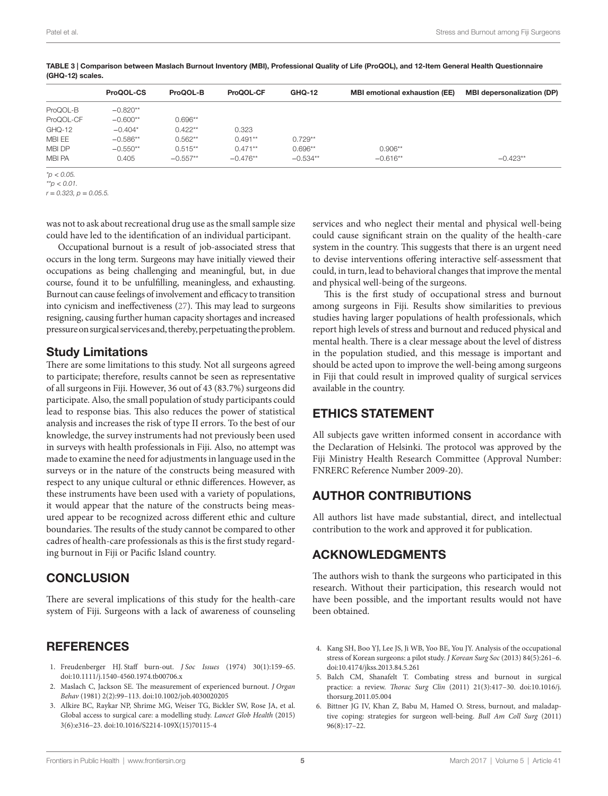|               | ProQOL-CS  | ProQOL-B   | ProQOL-CF  | <b>GHQ-12</b> | <b>MBI</b> emotional exhaustion (EE) | <b>MBI depersonalization (DP)</b> |
|---------------|------------|------------|------------|---------------|--------------------------------------|-----------------------------------|
| ProQOL-B      | $-0.820**$ |            |            |               |                                      |                                   |
| ProQOL-CF     | $-0.600**$ | $0.696**$  |            |               |                                      |                                   |
| GHQ-12        | $-0.404*$  | $0.422**$  | 0.323      |               |                                      |                                   |
| MBI EE        | $-0.586**$ | $0.562**$  | $0.491**$  | $0.729**$     |                                      |                                   |
| MBI DP        | $-0.550**$ | $0.515**$  | $0.471**$  | $0.696**$     | $0.906**$                            |                                   |
| <b>MBI PA</b> | 0.405      | $-0.557**$ | $-0.476**$ | $-0.534**$    | $-0.616**$                           | $-0.423**$                        |

<span id="page-4-6"></span>Table 3 | Comparison between Maslach Burnout Inventory (MBI), Professional Quality of Life (ProQOL), and 12-Item General Health Questionnaire (GHQ-12) scales.

*\*p* < *0.05.*

*\*\*p* < *0.01.*

*r* = *0.323, p* = *0.05.5.*

was not to ask about recreational drug use as the small sample size could have led to the identification of an individual participant.

Occupational burnout is a result of job-associated stress that occurs in the long term. Surgeons may have initially viewed their occupations as being challenging and meaningful, but, in due course, found it to be unfulfilling, meaningless, and exhausting. Burnout can cause feelings of involvement and efficacy to transition into cynicism and ineffectiveness [\(27](#page-5-20)). This may lead to surgeons resigning, causing further human capacity shortages and increased pressure on surgical services and, thereby, perpetuating the problem.

## Study Limitations

There are some limitations to this study. Not all surgeons agreed to participate; therefore, results cannot be seen as representative of all surgeons in Fiji. However, 36 out of 43 (83.7%) surgeons did participate. Also, the small population of study participants could lead to response bias. This also reduces the power of statistical analysis and increases the risk of type II errors. To the best of our knowledge, the survey instruments had not previously been used in surveys with health professionals in Fiji. Also, no attempt was made to examine the need for adjustments in language used in the surveys or in the nature of the constructs being measured with respect to any unique cultural or ethnic differences. However, as these instruments have been used with a variety of populations, it would appear that the nature of the constructs being measured appear to be recognized across different ethic and culture boundaries. The results of the study cannot be compared to other cadres of health-care professionals as this is the first study regarding burnout in Fiji or Pacific Island country.

# **CONCLUSION**

There are several implications of this study for the health-care system of Fiji. Surgeons with a lack of awareness of counseling

## REFERENCES

- <span id="page-4-0"></span>1. Freudenberger HJ. Staff burn-out. *J Soc Issues* (1974) 30(1):159–65. doi:[10.1111/j.1540-4560.1974.tb00706.x](https://doi.org/10.1111/j.1540-4560.1974.tb00706.x)
- <span id="page-4-1"></span>2. Maslach C, Jackson SE. The measurement of experienced burnout. *J Organ Behav* (1981) 2(2):99–113. doi[:10.1002/job.4030020205](https://doi.org/10.1002/job.4030020205)
- <span id="page-4-2"></span>3. Alkire BC, Raykar NP, Shrime MG, Weiser TG, Bickler SW, Rose JA, et al. Global access to surgical care: a modelling study. *Lancet Glob Health* (2015) 3(6):e316–23. doi[:10.1016/S2214-109X\(15\)70115-4](https://doi.org/10.1016/S2214-109X(15)70115-4)

services and who neglect their mental and physical well-being could cause significant strain on the quality of the health-care system in the country. This suggests that there is an urgent need to devise interventions offering interactive self-assessment that could, in turn, lead to behavioral changes that improve the mental and physical well-being of the surgeons.

This is the first study of occupational stress and burnout among surgeons in Fiji. Results show similarities to previous studies having larger populations of health professionals, which report high levels of stress and burnout and reduced physical and mental health. There is a clear message about the level of distress in the population studied, and this message is important and should be acted upon to improve the well-being among surgeons in Fiji that could result in improved quality of surgical services available in the country.

# ETHICS STATEMENT

All subjects gave written informed consent in accordance with the Declaration of Helsinki. The protocol was approved by the Fiji Ministry Health Research Committee (Approval Number: FNRERC Reference Number 2009-20).

# AUTHOR CONTRIBUTIONS

All authors list have made substantial, direct, and intellectual contribution to the work and approved it for publication.

# ACKNOWLEDGMENTS

The authors wish to thank the surgeons who participated in this research. Without their participation, this research would not have been possible, and the important results would not have been obtained.

- <span id="page-4-3"></span>4. Kang SH, Boo YJ, Lee JS, Ji WB, Yoo BE, You JY. Analysis of the occupational stress of Korean surgeons: a pilot study. *J Korean Surg Soc* (2013) 84(5):261–6. doi:[10.4174/jkss.2013.84.5.261](https://doi.org/10.4174/jkss.2013.84.5.261)
- <span id="page-4-4"></span>5. Balch CM, Shanafelt T. Combating stress and burnout in surgical practice: a review. *Thorac Surg Clin* (2011) 21(3):417–30. doi:[10.1016/j.](https://doi.org/10.1016/j.thorsurg.2011.05.004) [thorsurg.2011.05.004](https://doi.org/10.1016/j.thorsurg.2011.05.004)
- <span id="page-4-5"></span>6. Bittner JG IV, Khan Z, Babu M, Hamed O. Stress, burnout, and maladaptive coping: strategies for surgeon well-being. *Bull Am Coll Surg* (2011) 96(8):17–22.